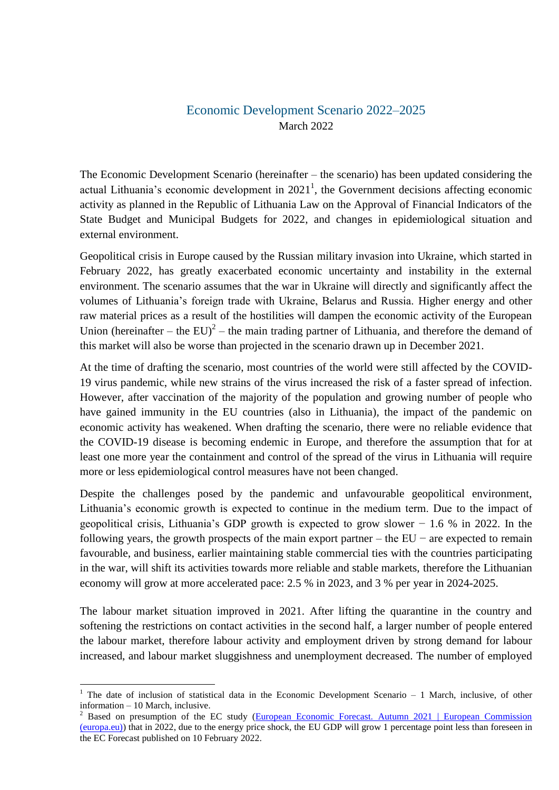## Economic Development Scenario 2022–2025 March 2022

The Economic Development Scenario (hereinafter – the scenario) has been updated considering the actual Lithuania's economic development in  $2021<sup>1</sup>$ , the Government decisions affecting economic activity as planned in the Republic of Lithuania Law on the Approval of Financial Indicators of the State Budget and Municipal Budgets for 2022, and changes in epidemiological situation and external environment.

Geopolitical crisis in Europe caused by the Russian military invasion into Ukraine, which started in February 2022, has greatly exacerbated economic uncertainty and instability in the external environment. The scenario assumes that the war in Ukraine will directly and significantly affect the volumes of Lithuania's foreign trade with Ukraine, Belarus and Russia. Higher energy and other raw material prices as a result of the hostilities will dampen the economic activity of the European Union (hereinafter – the EU)<sup>2</sup> – the main trading partner of Lithuania, and therefore the demand of this market will also be worse than projected in the scenario drawn up in December 2021.

At the time of drafting the scenario, most countries of the world were still affected by the COVID-19 virus pandemic, while new strains of the virus increased the risk of a faster spread of infection. However, after vaccination of the majority of the population and growing number of people who have gained immunity in the EU countries (also in Lithuania), the impact of the pandemic on economic activity has weakened. When drafting the scenario, there were no reliable evidence that the COVID-19 disease is becoming endemic in Europe, and therefore the assumption that for at least one more year the containment and control of the spread of the virus in Lithuania will require more or less epidemiological control measures have not been changed.

Despite the challenges posed by the pandemic and unfavourable geopolitical environment, Lithuania's economic growth is expected to continue in the medium term. Due to the impact of geopolitical crisis, Lithuania's GDP growth is expected to grow slower  $-1.6$  % in 2022. In the following years, the growth prospects of the main export partner – the  $EU$  – are expected to remain favourable, and business, earlier maintaining stable commercial ties with the countries participating in the war, will shift its activities towards more reliable and stable markets, therefore the Lithuanian economy will grow at more accelerated pace: 2.5 % in 2023, and 3 % per year in 2024-2025.

The labour market situation improved in 2021. After lifting the quarantine in the country and softening the restrictions on contact activities in the second half, a larger number of people entered the labour market, therefore labour activity and employment driven by strong demand for labour increased, and labour market sluggishness and unemployment decreased. The number of employed

**.** 

<sup>&</sup>lt;sup>1</sup> The date of inclusion of statistical data in the Economic Development Scenario  $-1$  March, inclusive, of other information – 10 March, inclusive.

<sup>&</sup>lt;sup>2</sup> Based on presumption of the EC study (European Economic Forecast. Autumn 2021 | European Commission [\(europa.eu\)\)](https://ec.europa.eu/info/publications/european-economic-forecast-autumn-2021_en) that in 2022, due to the energy price shock, the EU GDP will grow 1 percentage point less than foreseen in the EC Forecast published on 10 February 2022.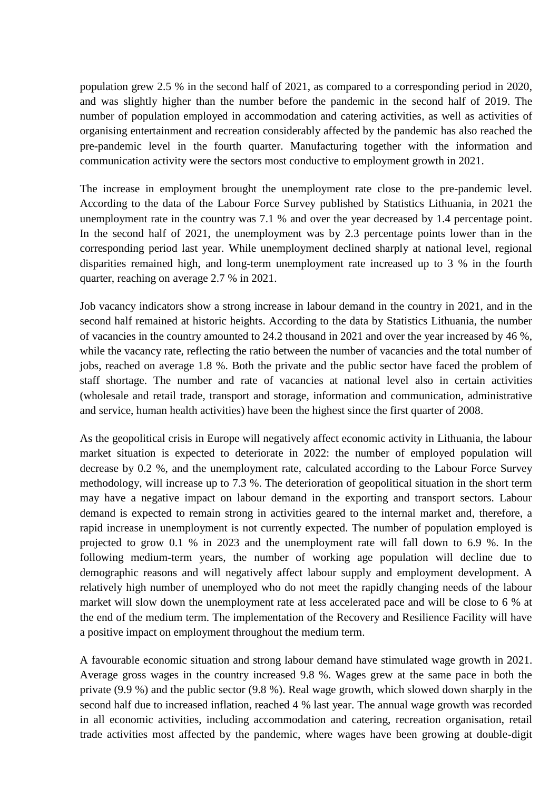population grew 2.5 % in the second half of 2021, as compared to a corresponding period in 2020, and was slightly higher than the number before the pandemic in the second half of 2019. The number of population employed in accommodation and catering activities, as well as activities of organising entertainment and recreation considerably affected by the pandemic has also reached the pre-pandemic level in the fourth quarter. Manufacturing together with the information and communication activity were the sectors most conductive to employment growth in 2021.

The increase in employment brought the unemployment rate close to the pre-pandemic level. According to the data of the Labour Force Survey published by Statistics Lithuania, in 2021 the unemployment rate in the country was 7.1 % and over the year decreased by 1.4 percentage point. In the second half of 2021, the unemployment was by 2.3 percentage points lower than in the corresponding period last year. While unemployment declined sharply at national level, regional disparities remained high, and long-term unemployment rate increased up to 3 % in the fourth quarter, reaching on average 2.7 % in 2021.

Job vacancy indicators show a strong increase in labour demand in the country in 2021, and in the second half remained at historic heights. According to the data by Statistics Lithuania, the number of vacancies in the country amounted to 24.2 thousand in 2021 and over the year increased by 46 %, while the vacancy rate, reflecting the ratio between the number of vacancies and the total number of jobs, reached on average 1.8 %. Both the private and the public sector have faced the problem of staff shortage. The number and rate of vacancies at national level also in certain activities (wholesale and retail trade, transport and storage, information and communication, administrative and service, human health activities) have been the highest since the first quarter of 2008.

As the geopolitical crisis in Europe will negatively affect economic activity in Lithuania, the labour market situation is expected to deteriorate in 2022: the number of employed population will decrease by 0.2 %, and the unemployment rate, calculated according to the Labour Force Survey methodology, will increase up to 7.3 %. The deterioration of geopolitical situation in the short term may have a negative impact on labour demand in the exporting and transport sectors. Labour demand is expected to remain strong in activities geared to the internal market and, therefore, a rapid increase in unemployment is not currently expected. The number of population employed is projected to grow 0.1 % in 2023 and the unemployment rate will fall down to 6.9 %. In the following medium-term years, the number of working age population will decline due to demographic reasons and will negatively affect labour supply and employment development. A relatively high number of unemployed who do not meet the rapidly changing needs of the labour market will slow down the unemployment rate at less accelerated pace and will be close to 6 % at the end of the medium term. The implementation of the Recovery and Resilience Facility will have a positive impact on employment throughout the medium term.

A favourable economic situation and strong labour demand have stimulated wage growth in 2021. Average gross wages in the country increased 9.8 %. Wages grew at the same pace in both the private (9.9 %) and the public sector (9.8 %). Real wage growth, which slowed down sharply in the second half due to increased inflation, reached 4 % last year. The annual wage growth was recorded in all economic activities, including accommodation and catering, recreation organisation, retail trade activities most affected by the pandemic, where wages have been growing at double-digit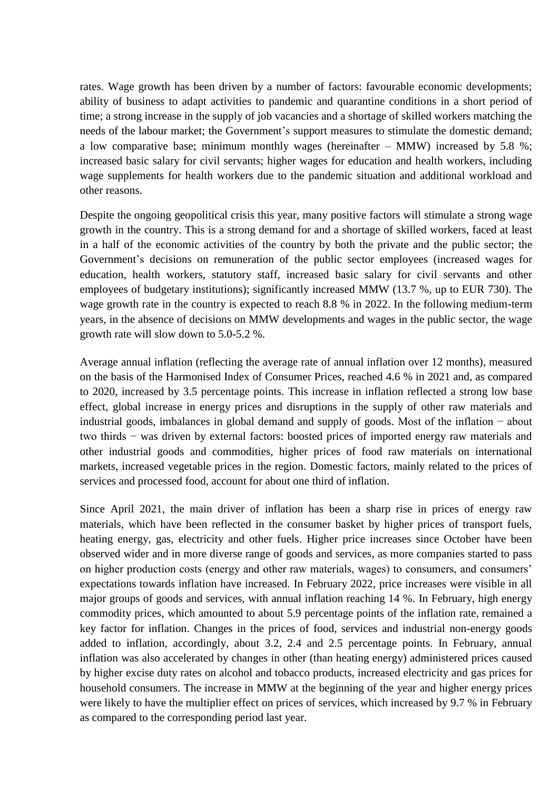rates. Wage growth has been driven by a number of factors: favourable economic developments; ability of business to adapt activities to pandemic and quarantine conditions in a short period of time; a strong increase in the supply of job vacancies and a shortage of skilled workers matching the needs of the labour market; the Government's support measures to stimulate the domestic demand; a low comparative base; minimum monthly wages (hereinafter – MMW) increased by 5.8 %; increased basic salary for civil servants; higher wages for education and health workers, including wage supplements for health workers due to the pandemic situation and additional workload and other reasons.

Despite the ongoing geopolitical crisis this year, many positive factors will stimulate a strong wage growth in the country. This is a strong demand for and a shortage of skilled workers, faced at least in a half of the economic activities of the country by both the private and the public sector; the Government's decisions on remuneration of the public sector employees (increased wages for education, health workers, statutory staff, increased basic salary for civil servants and other employees of budgetary institutions); significantly increased MMW (13.7 %, up to EUR 730). The wage growth rate in the country is expected to reach 8.8 % in 2022. In the following medium-term years, in the absence of decisions on MMW developments and wages in the public sector, the wage growth rate will slow down to 5.0-5.2 %.

Average annual inflation (reflecting the average rate of annual inflation over 12 months), measured on the basis of the Harmonised Index of Consumer Prices, reached 4.6 % in 2021 and, as compared to 2020, increased by 3.5 percentage points. This increase in inflation reflected a strong low base effect, global increase in energy prices and disruptions in the supply of other raw materials and industrial goods, imbalances in global demand and supply of goods. Most of the inflation − about two thirds − was driven by external factors: boosted prices of imported energy raw materials and other industrial goods and commodities, higher prices of food raw materials on international markets, increased vegetable prices in the region. Domestic factors, mainly related to the prices of services and processed food, account for about one third of inflation.

Since April 2021, the main driver of inflation has been a sharp rise in prices of energy raw materials, which have been reflected in the consumer basket by higher prices of transport fuels, heating energy, gas, electricity and other fuels. Higher price increases since October have been observed wider and in more diverse range of goods and services, as more companies started to pass on higher production costs (energy and other raw materials, wages) to consumers, and consumers' expectations towards inflation have increased. In February 2022, price increases were visible in all major groups of goods and services, with annual inflation reaching 14 %. In February, high energy commodity prices, which amounted to about 5.9 percentage points of the inflation rate, remained a key factor for inflation. Changes in the prices of food, services and industrial non-energy goods added to inflation, accordingly, about 3.2, 2.4 and 2.5 percentage points. In February, annual inflation was also accelerated by changes in other (than heating energy) administered prices caused by higher excise duty rates on alcohol and tobacco products, increased electricity and gas prices for household consumers. The increase in MMW at the beginning of the year and higher energy prices were likely to have the multiplier effect on prices of services, which increased by 9.7 % in February as compared to the corresponding period last year.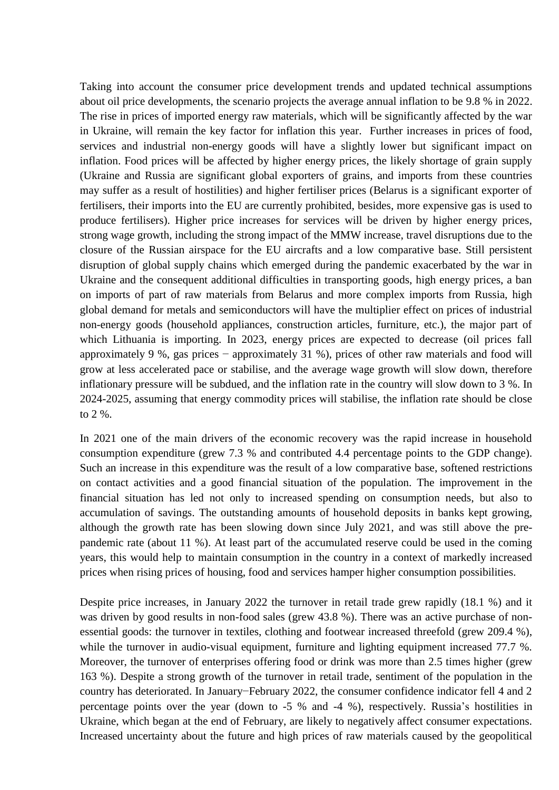Taking into account the consumer price development trends and updated technical assumptions about oil price developments, the scenario projects the average annual inflation to be 9.8 % in 2022. The rise in prices of imported energy raw materials, which will be significantly affected by the war in Ukraine, will remain the key factor for inflation this year. Further increases in prices of food, services and industrial non-energy goods will have a slightly lower but significant impact on inflation. Food prices will be affected by higher energy prices, the likely shortage of grain supply (Ukraine and Russia are significant global exporters of grains, and imports from these countries may suffer as a result of hostilities) and higher fertiliser prices (Belarus is a significant exporter of fertilisers, their imports into the EU are currently prohibited, besides, more expensive gas is used to produce fertilisers). Higher price increases for services will be driven by higher energy prices, strong wage growth, including the strong impact of the MMW increase, travel disruptions due to the closure of the Russian airspace for the EU aircrafts and a low comparative base. Still persistent disruption of global supply chains which emerged during the pandemic exacerbated by the war in Ukraine and the consequent additional difficulties in transporting goods, high energy prices, a ban on imports of part of raw materials from Belarus and more complex imports from Russia, high global demand for metals and semiconductors will have the multiplier effect on prices of industrial non-energy goods (household appliances, construction articles, furniture, etc.), the major part of which Lithuania is importing. In 2023, energy prices are expected to decrease (oil prices fall approximately 9 %, gas prices − approximately 31 %), prices of other raw materials and food will grow at less accelerated pace or stabilise, and the average wage growth will slow down, therefore inflationary pressure will be subdued, and the inflation rate in the country will slow down to 3 %. In 2024-2025, assuming that energy commodity prices will stabilise, the inflation rate should be close to 2 %.

In 2021 one of the main drivers of the economic recovery was the rapid increase in household consumption expenditure (grew 7.3 % and contributed 4.4 percentage points to the GDP change). Such an increase in this expenditure was the result of a low comparative base, softened restrictions on contact activities and a good financial situation of the population. The improvement in the financial situation has led not only to increased spending on consumption needs, but also to accumulation of savings. The outstanding amounts of household deposits in banks kept growing, although the growth rate has been slowing down since July 2021, and was still above the prepandemic rate (about 11 %). At least part of the accumulated reserve could be used in the coming years, this would help to maintain consumption in the country in a context of markedly increased prices when rising prices of housing, food and services hamper higher consumption possibilities.

Despite price increases, in January 2022 the turnover in retail trade grew rapidly (18.1 %) and it was driven by good results in non-food sales (grew 43.8 %). There was an active purchase of nonessential goods: the turnover in textiles, clothing and footwear increased threefold (grew 209.4 %), while the turnover in audio-visual equipment, furniture and lighting equipment increased 77.7 %. Moreover, the turnover of enterprises offering food or drink was more than 2.5 times higher (grew 163 %). Despite a strong growth of the turnover in retail trade, sentiment of the population in the country has deteriorated. In January−February 2022, the consumer confidence indicator fell 4 and 2 percentage points over the year (down to -5 % and -4 %), respectively. Russia's hostilities in Ukraine, which began at the end of February, are likely to negatively affect consumer expectations. Increased uncertainty about the future and high prices of raw materials caused by the geopolitical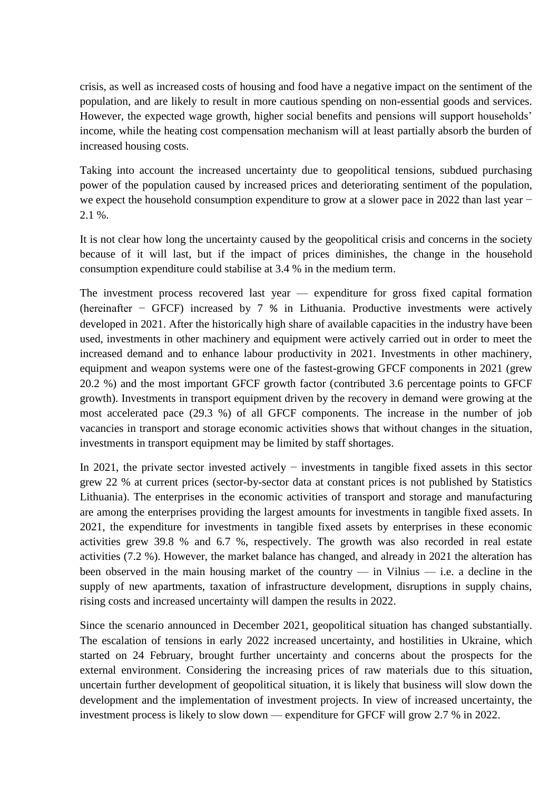crisis, as well as increased costs of housing and food have a negative impact on the sentiment of the population, and are likely to result in more cautious spending on non-essential goods and services. However, the expected wage growth, higher social benefits and pensions will support households' income, while the heating cost compensation mechanism will at least partially absorb the burden of increased housing costs.

Taking into account the increased uncertainty due to geopolitical tensions, subdued purchasing power of the population caused by increased prices and deteriorating sentiment of the population, we expect the household consumption expenditure to grow at a slower pace in 2022 than last year − 2.1 %.

It is not clear how long the uncertainty caused by the geopolitical crisis and concerns in the society because of it will last, but if the impact of prices diminishes, the change in the household consumption expenditure could stabilise at 3.4 % in the medium term.

The investment process recovered last year — expenditure for gross fixed capital formation (hereinafter − GFCF) increased by 7 % in Lithuania. Productive investments were actively developed in 2021. After the historically high share of available capacities in the industry have been used, investments in other machinery and equipment were actively carried out in order to meet the increased demand and to enhance labour productivity in 2021. Investments in other machinery, equipment and weapon systems were one of the fastest-growing GFCF components in 2021 (grew 20.2 %) and the most important GFCF growth factor (contributed 3.6 percentage points to GFCF growth). Investments in transport equipment driven by the recovery in demand were growing at the most accelerated pace (29.3 %) of all GFCF components. The increase in the number of job vacancies in transport and storage economic activities shows that without changes in the situation, investments in transport equipment may be limited by staff shortages.

In 2021, the private sector invested actively − investments in tangible fixed assets in this sector grew 22 % at current prices (sector-by-sector data at constant prices is not published by Statistics Lithuania). The enterprises in the economic activities of transport and storage and manufacturing are among the enterprises providing the largest amounts for investments in tangible fixed assets. In 2021, the expenditure for investments in tangible fixed assets by enterprises in these economic activities grew 39.8 % and 6.7 %, respectively. The growth was also recorded in real estate activities (7.2 %). However, the market balance has changed, and already in 2021 the alteration has been observed in the main housing market of the country — in Vilnius — i.e. a decline in the supply of new apartments, taxation of infrastructure development, disruptions in supply chains, rising costs and increased uncertainty will dampen the results in 2022.

Since the scenario announced in December 2021, geopolitical situation has changed substantially. The escalation of tensions in early 2022 increased uncertainty, and hostilities in Ukraine, which started on 24 February, brought further uncertainty and concerns about the prospects for the external environment. Considering the increasing prices of raw materials due to this situation, uncertain further development of geopolitical situation, it is likely that business will slow down the development and the implementation of investment projects. In view of increased uncertainty, the investment process is likely to slow down — expenditure for GFCF will grow 2.7 % in 2022.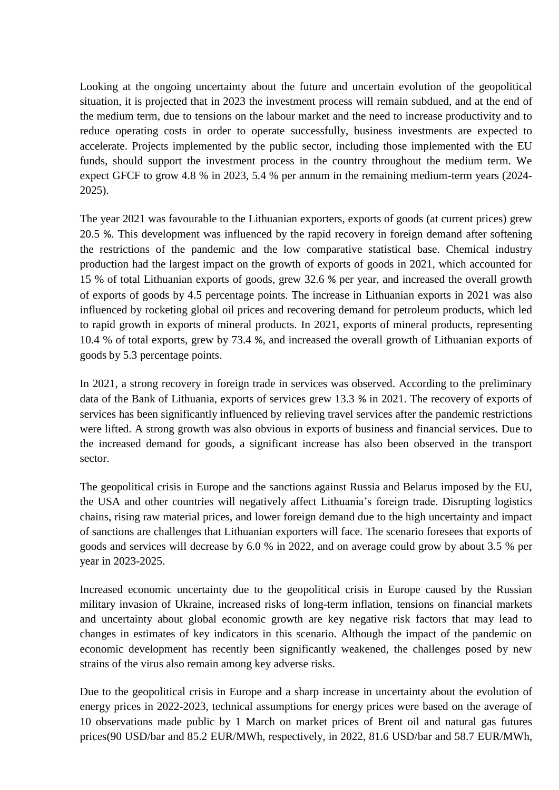Looking at the ongoing uncertainty about the future and uncertain evolution of the geopolitical situation, it is projected that in 2023 the investment process will remain subdued, and at the end of the medium term, due to tensions on the labour market and the need to increase productivity and to reduce operating costs in order to operate successfully, business investments are expected to accelerate. Projects implemented by the public sector, including those implemented with the EU funds, should support the investment process in the country throughout the medium term. We expect GFCF to grow 4.8 % in 2023, 5.4 % per annum in the remaining medium-term years (2024- 2025).

The year 2021 was favourable to the Lithuanian exporters, exports of goods (at current prices) grew 20.5 %. This development was influenced by the rapid recovery in foreign demand after softening the restrictions of the pandemic and the low comparative statistical base. Chemical industry production had the largest impact on the growth of exports of goods in 2021, which accounted for 15 % of total Lithuanian exports of goods, grew 32.6 % per year, and increased the overall growth of exports of goods by 4.5 percentage points. The increase in Lithuanian exports in 2021 was also influenced by rocketing global oil prices and recovering demand for petroleum products, which led to rapid growth in exports of mineral products. In 2021, exports of mineral products, representing 10.4 % of total exports, grew by 73.4 %, and increased the overall growth of Lithuanian exports of goods by 5.3 percentage points.

In 2021, a strong recovery in foreign trade in services was observed. According to the preliminary data of the Bank of Lithuania, exports of services grew 13.3 % in 2021. The recovery of exports of services has been significantly influenced by relieving travel services after the pandemic restrictions were lifted. A strong growth was also obvious in exports of business and financial services. Due to the increased demand for goods, a significant increase has also been observed in the transport sector.

The geopolitical crisis in Europe and the sanctions against Russia and Belarus imposed by the EU, the USA and other countries will negatively affect Lithuania's foreign trade. Disrupting logistics chains, rising raw material prices, and lower foreign demand due to the high uncertainty and impact of sanctions are challenges that Lithuanian exporters will face. The scenario foresees that exports of goods and services will decrease by 6.0 % in 2022, and on average could grow by about 3.5 % per year in 2023-2025.

Increased economic uncertainty due to the geopolitical crisis in Europe caused by the Russian military invasion of Ukraine, increased risks of long-term inflation, tensions on financial markets and uncertainty about global economic growth are key negative risk factors that may lead to changes in estimates of key indicators in this scenario. Although the impact of the pandemic on economic development has recently been significantly weakened, the challenges posed by new strains of the virus also remain among key adverse risks.

Due to the geopolitical crisis in Europe and a sharp increase in uncertainty about the evolution of energy prices in 2022-2023, technical assumptions for energy prices were based on the average of 10 observations made public by 1 March on market prices of Brent oil and natural gas futures prices(90 USD/bar and 85.2 EUR/MWh, respectively, in 2022, 81.6 USD/bar and 58.7 EUR/MWh,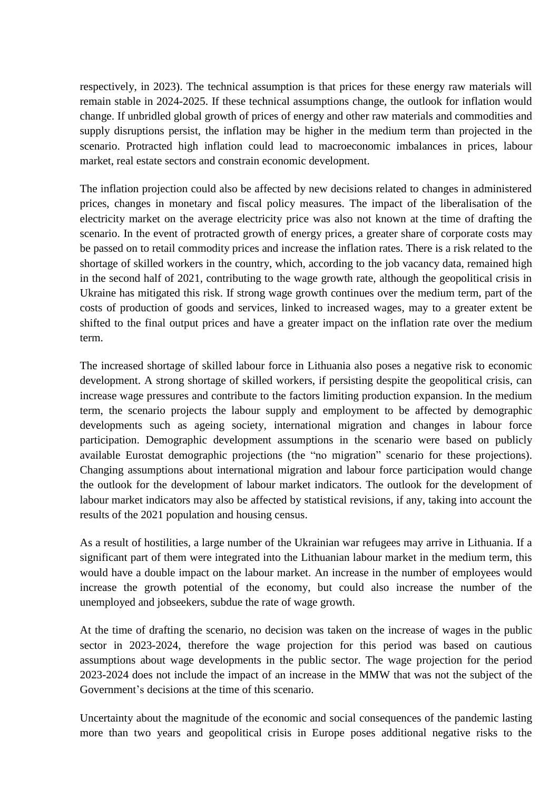respectively, in 2023). The technical assumption is that prices for these energy raw materials will remain stable in 2024-2025. If these technical assumptions change, the outlook for inflation would change. If unbridled global growth of prices of energy and other raw materials and commodities and supply disruptions persist, the inflation may be higher in the medium term than projected in the scenario. Protracted high inflation could lead to macroeconomic imbalances in prices, labour market, real estate sectors and constrain economic development.

The inflation projection could also be affected by new decisions related to changes in administered prices, changes in monetary and fiscal policy measures. The impact of the liberalisation of the electricity market on the average electricity price was also not known at the time of drafting the scenario. In the event of protracted growth of energy prices, a greater share of corporate costs may be passed on to retail commodity prices and increase the inflation rates. There is a risk related to the shortage of skilled workers in the country, which, according to the job vacancy data, remained high in the second half of 2021, contributing to the wage growth rate, although the geopolitical crisis in Ukraine has mitigated this risk. If strong wage growth continues over the medium term, part of the costs of production of goods and services, linked to increased wages, may to a greater extent be shifted to the final output prices and have a greater impact on the inflation rate over the medium term.

The increased shortage of skilled labour force in Lithuania also poses a negative risk to economic development. A strong shortage of skilled workers, if persisting despite the geopolitical crisis, can increase wage pressures and contribute to the factors limiting production expansion. In the medium term, the scenario projects the labour supply and employment to be affected by demographic developments such as ageing society, international migration and changes in labour force participation. Demographic development assumptions in the scenario were based on publicly available Eurostat demographic projections (the "no migration" scenario for these projections). Changing assumptions about international migration and labour force participation would change the outlook for the development of labour market indicators. The outlook for the development of labour market indicators may also be affected by statistical revisions, if any, taking into account the results of the 2021 population and housing census.

As a result of hostilities, a large number of the Ukrainian war refugees may arrive in Lithuania. If a significant part of them were integrated into the Lithuanian labour market in the medium term, this would have a double impact on the labour market. An increase in the number of employees would increase the growth potential of the economy, but could also increase the number of the unemployed and jobseekers, subdue the rate of wage growth.

At the time of drafting the scenario, no decision was taken on the increase of wages in the public sector in 2023-2024, therefore the wage projection for this period was based on cautious assumptions about wage developments in the public sector. The wage projection for the period 2023-2024 does not include the impact of an increase in the MMW that was not the subject of the Government's decisions at the time of this scenario.

Uncertainty about the magnitude of the economic and social consequences of the pandemic lasting more than two years and geopolitical crisis in Europe poses additional negative risks to the